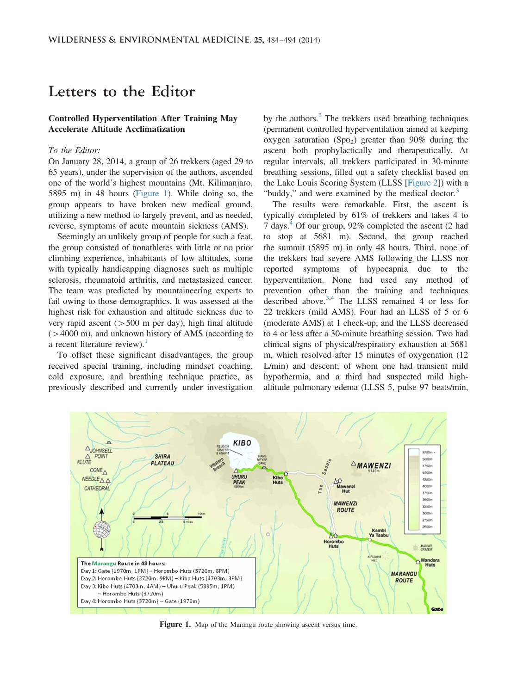# Letters to the Editor

## Controlled Hyperventilation After Training May Accelerate Altitude Acclimatization

### To the Editor:

On January 28, 2014, a group of 26 trekkers (aged 29 to 65 years), under the supervision of the authors, ascended one of the world's highest mountains (Mt. Kilimanjaro, 5895 m) in 48 hours (Figure 1). While doing so, the group appears to have broken new medical ground, utilizing a new method to largely prevent, and as needed, reverse, symptoms of acute mountain sickness (AMS).

Seemingly an unlikely group of people for such a feat, the group consisted of nonathletes with little or no prior climbing experience, inhabitants of low altitudes, some with typically handicapping diagnoses such as multiple sclerosis, rheumatoid arthritis, and metastasized cancer. The team was predicted by mountaineering experts to fail owing to those demographics. It was assessed at the highest risk for exhaustion and altitude sickness due to very rapid ascent ( $> 500$  m per day), high final altitude  $(>4000 \text{ m})$ , and unknown history of AMS (according to a recent literature review).<sup>[1](#page-2-0)</sup>

To offset these significant disadvantages, the group received special training, including mindset coaching, cold exposure, and breathing technique practice, as previously described and currently under investigation by the authors. $<sup>2</sup>$  $<sup>2</sup>$  $<sup>2</sup>$  The trekkers used breathing techniques</sup> (permanent controlled hyperventilation aimed at keeping oxygen saturation (Spo<sub>2</sub>) greater than 90% during the ascent both prophylactically and therapeutically. At regular intervals, all trekkers participated in 30-minute breathing sessions, filled out a safety checklist based on the Lake Louis Scoring System (LLSS [[Figure 2](#page-1-0)]) with a "buddy," and were examined by the medical doctor.<sup>[3](#page-2-0)</sup>

The results were remarkable. First, the ascent is typically completed by 61% of trekkers and takes 4 to 7 days.<sup>[4](#page-2-0)</sup> Of our group, 92% completed the ascent (2 had to stop at 5681 m). Second, the group reached the summit (5895 m) in only 48 hours. Third, none of the trekkers had severe AMS following the LLSS nor reported symptoms of hypocapnia due to the hyperventilation. None had used any method of prevention other than the training and techniques described above.<sup>3,4</sup> The LLSS remained 4 or less for 22 trekkers (mild AMS). Four had an LLSS of 5 or 6 (moderate AMS) at 1 check-up, and the LLSS decreased to 4 or less after a 30-minute breathing session. Two had clinical signs of physical/respiratory exhaustion at 5681 m, which resolved after 15 minutes of oxygenation (12 L/min) and descent; of whom one had transient mild hypothermia, and a third had suspected mild highaltitude pulmonary edema (LLSS 5, pulse 97 beats/min,



Figure 1. Map of the Marangu route showing ascent versus time.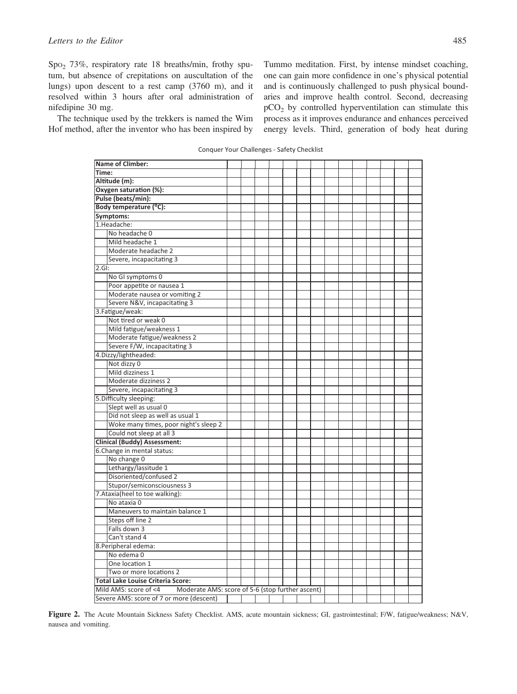<span id="page-1-0"></span>SpO2 73%, respiratory rate 18 breaths/min, frothy sputum, but absence of crepitations on auscultation of the lungs) upon descent to a rest camp (3760 m), and it resolved within 3 hours after oral administration of nifedipine 30 mg.

The technique used by the trekkers is named the Wim Hof method, after the inventor who has been inspired by

Tummo meditation. First, by intense mindset coaching, one can gain more confidence in one's physical potential and is continuously challenged to push physical boundaries and improve health control. Second, decreasing  $pCO<sub>2</sub>$  by controlled hyperventilation can stimulate this process as it improves endurance and enhances perceived energy levels. Third, generation of body heat during

Conquer Your Challenges - Safety Checklist

| Name of Climber:                                                       |  |  |  |  |  |  |  |  |  |  |  |  |  |
|------------------------------------------------------------------------|--|--|--|--|--|--|--|--|--|--|--|--|--|
| Time:                                                                  |  |  |  |  |  |  |  |  |  |  |  |  |  |
| Altitude (m):                                                          |  |  |  |  |  |  |  |  |  |  |  |  |  |
| Oxygen saturation (%):                                                 |  |  |  |  |  |  |  |  |  |  |  |  |  |
| Pulse (beats/min):                                                     |  |  |  |  |  |  |  |  |  |  |  |  |  |
| Body temperature (°C):                                                 |  |  |  |  |  |  |  |  |  |  |  |  |  |
| Symptoms:                                                              |  |  |  |  |  |  |  |  |  |  |  |  |  |
| 1.Headache:                                                            |  |  |  |  |  |  |  |  |  |  |  |  |  |
| No headache 0                                                          |  |  |  |  |  |  |  |  |  |  |  |  |  |
| Mild headache 1                                                        |  |  |  |  |  |  |  |  |  |  |  |  |  |
| Moderate headache 2                                                    |  |  |  |  |  |  |  |  |  |  |  |  |  |
| Severe, incapacitating 3                                               |  |  |  |  |  |  |  |  |  |  |  |  |  |
| 2.GI:                                                                  |  |  |  |  |  |  |  |  |  |  |  |  |  |
| No GI symptoms 0                                                       |  |  |  |  |  |  |  |  |  |  |  |  |  |
| Poor appetite or nausea 1                                              |  |  |  |  |  |  |  |  |  |  |  |  |  |
| Moderate nausea or vomiting 2                                          |  |  |  |  |  |  |  |  |  |  |  |  |  |
| Severe N&V, incapacitating 3                                           |  |  |  |  |  |  |  |  |  |  |  |  |  |
| 3. Fatigue/weak:                                                       |  |  |  |  |  |  |  |  |  |  |  |  |  |
| Not tired or weak 0                                                    |  |  |  |  |  |  |  |  |  |  |  |  |  |
| Mild fatigue/weakness 1                                                |  |  |  |  |  |  |  |  |  |  |  |  |  |
| Moderate fatigue/weakness 2                                            |  |  |  |  |  |  |  |  |  |  |  |  |  |
| Severe F/W, incapacitating 3                                           |  |  |  |  |  |  |  |  |  |  |  |  |  |
| 4.Dizzy/lightheaded:                                                   |  |  |  |  |  |  |  |  |  |  |  |  |  |
| Not dizzy 0                                                            |  |  |  |  |  |  |  |  |  |  |  |  |  |
| Mild dizziness 1                                                       |  |  |  |  |  |  |  |  |  |  |  |  |  |
| Moderate dizziness 2                                                   |  |  |  |  |  |  |  |  |  |  |  |  |  |
| Severe, incapacitating 3                                               |  |  |  |  |  |  |  |  |  |  |  |  |  |
| 5. Difficulty sleeping:                                                |  |  |  |  |  |  |  |  |  |  |  |  |  |
| Slept well as usual 0                                                  |  |  |  |  |  |  |  |  |  |  |  |  |  |
| Did not sleep as well as usual 1                                       |  |  |  |  |  |  |  |  |  |  |  |  |  |
| Woke many times, poor night's sleep 2                                  |  |  |  |  |  |  |  |  |  |  |  |  |  |
| Could not sleep at all 3                                               |  |  |  |  |  |  |  |  |  |  |  |  |  |
| <b>Clinical (Buddy) Assessment:</b>                                    |  |  |  |  |  |  |  |  |  |  |  |  |  |
| 6. Change in mental status:                                            |  |  |  |  |  |  |  |  |  |  |  |  |  |
| No change 0                                                            |  |  |  |  |  |  |  |  |  |  |  |  |  |
| Lethargy/lassitude 1                                                   |  |  |  |  |  |  |  |  |  |  |  |  |  |
| Disoriented/confused 2                                                 |  |  |  |  |  |  |  |  |  |  |  |  |  |
| Stupor/semiconsciousness 3                                             |  |  |  |  |  |  |  |  |  |  |  |  |  |
| 7. Ataxia (heel to toe walking):                                       |  |  |  |  |  |  |  |  |  |  |  |  |  |
| No ataxia 0                                                            |  |  |  |  |  |  |  |  |  |  |  |  |  |
| Maneuvers to maintain balance 1                                        |  |  |  |  |  |  |  |  |  |  |  |  |  |
| Steps off line 2                                                       |  |  |  |  |  |  |  |  |  |  |  |  |  |
| Falls down 3                                                           |  |  |  |  |  |  |  |  |  |  |  |  |  |
| Can't stand 4                                                          |  |  |  |  |  |  |  |  |  |  |  |  |  |
| 8. Peripheral edema:                                                   |  |  |  |  |  |  |  |  |  |  |  |  |  |
| No edema 0                                                             |  |  |  |  |  |  |  |  |  |  |  |  |  |
| One location 1                                                         |  |  |  |  |  |  |  |  |  |  |  |  |  |
| Two or more locations 2                                                |  |  |  |  |  |  |  |  |  |  |  |  |  |
| <b>Total Lake Louise Criteria Score:</b>                               |  |  |  |  |  |  |  |  |  |  |  |  |  |
| Mild AMS: score of <4 Moderate AMS: score of 5-6 (stop further ascent) |  |  |  |  |  |  |  |  |  |  |  |  |  |
| Severe AMS: score of 7 or more (descent)                               |  |  |  |  |  |  |  |  |  |  |  |  |  |

Figure 2. The Acute Mountain Sickness Safety Checklist. AMS, acute mountain sickness; GI, gastrointestinal; F/W, fatigue/weakness; N&V, nausea and vomiting.